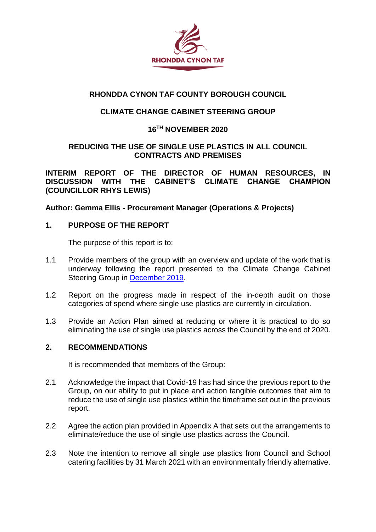

## **RHONDDA CYNON TAF COUNTY BOROUGH COUNCIL**

## **CLIMATE CHANGE CABINET STEERING GROUP**

## **16TH NOVEMBER 2020**

### **REDUCING THE USE OF SINGLE USE PLASTICS IN ALL COUNCIL CONTRACTS AND PREMISES**

**INTERIM REPORT OF THE DIRECTOR OF HUMAN RESOURCES, IN DISCUSSION WITH THE CABINET'S CLIMATE CHANGE CHAMPION (COUNCILLOR RHYS LEWIS)**

**Author: Gemma Ellis - Procurement Manager (Operations & Projects)**

### **1. PURPOSE OF THE REPORT**

The purpose of this report is to:

- 1.1 Provide members of the group with an overview and update of the work that is underway following the report presented to the Climate Change Cabinet Steering Group in [December 2019.](https://www.rctcbc.gov.uk/EN/Council/CouncillorsCommitteesandMeetings/Meetings/ClimateChangeCabinetSteeringGroup/2019/12/18/Reports/Item6EliminationofSingleUsePlasticsinallCouncilcontractsandpremises.pdf)
- 1.2 Report on the progress made in respect of the in-depth audit on those categories of spend where single use plastics are currently in circulation.
- 1.3 Provide an Action Plan aimed at reducing or where it is practical to do so eliminating the use of single use plastics across the Council by the end of 2020.

## **2. RECOMMENDATIONS**

It is recommended that members of the Group:

- 2.1 Acknowledge the impact that Covid-19 has had since the previous report to the Group, on our ability to put in place and action tangible outcomes that aim to reduce the use of single use plastics within the timeframe set out in the previous report.
- 2.2 Agree the action plan provided in Appendix A that sets out the arrangements to eliminate/reduce the use of single use plastics across the Council.
- 2.3 Note the intention to remove all single use plastics from Council and School catering facilities by 31 March 2021 with an environmentally friendly alternative.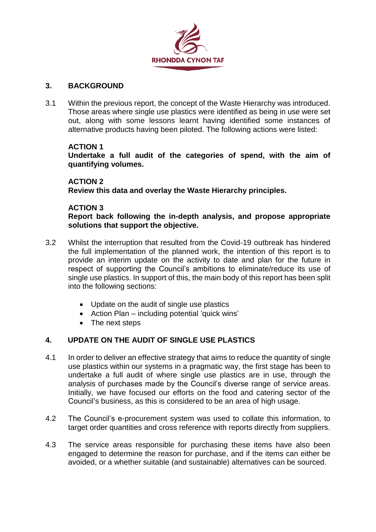

#### **3. BACKGROUND**

3.1 Within the previous report, the concept of the Waste Hierarchy was introduced. Those areas where single use plastics were identified as being in use were set out, along with some lessons learnt having identified some instances of alternative products having been piloted. The following actions were listed:

#### **ACTION 1**

**Undertake a full audit of the categories of spend, with the aim of quantifying volumes.** 

#### **ACTION 2**

**Review this data and overlay the Waste Hierarchy principles.**

#### **ACTION 3**

**Report back following the in-depth analysis, and propose appropriate solutions that support the objective.** 

- 3.2 Whilst the interruption that resulted from the Covid-19 outbreak has hindered the full implementation of the planned work, the intention of this report is to provide an interim update on the activity to date and plan for the future in respect of supporting the Council's ambitions to eliminate/reduce its use of single use plastics. In support of this, the main body of this report has been split into the following sections:
	- Update on the audit of single use plastics
	- Action Plan including potential 'quick wins'
	- The next steps

## **4. UPDATE ON THE AUDIT OF SINGLE USE PLASTICS**

- 4.1 In order to deliver an effective strategy that aims to reduce the quantity of single use plastics within our systems in a pragmatic way, the first stage has been to undertake a full audit of where single use plastics are in use, through the analysis of purchases made by the Council's diverse range of service areas. Initially, we have focused our efforts on the food and catering sector of the Council's business, as this is considered to be an area of high usage.
- 4.2 The Council's e-procurement system was used to collate this information, to target order quantities and cross reference with reports directly from suppliers.
- 4.3 The service areas responsible for purchasing these items have also been engaged to determine the reason for purchase, and if the items can either be avoided, or a whether suitable (and sustainable) alternatives can be sourced.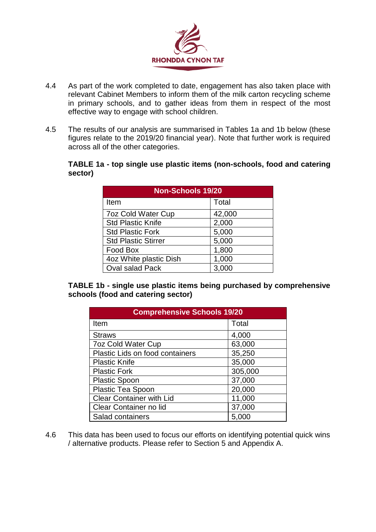

- 4.4 As part of the work completed to date, engagement has also taken place with relevant Cabinet Members to inform them of the milk carton recycling scheme in primary schools, and to gather ideas from them in respect of the most effective way to engage with school children.
- 4.5 The results of our analysis are summarised in Tables 1a and 1b below (these figures relate to the 2019/20 financial year). Note that further work is required across all of the other categories.

#### **TABLE 1a - top single use plastic items (non-schools, food and catering sector)**

| <b>Non-Schools 19/20</b>   |                  |  |
|----------------------------|------------------|--|
| Item                       | Total            |  |
| <b>7oz Cold Water Cup</b>  | 42,000           |  |
| <b>Std Plastic Knife</b>   | 2,000            |  |
| <b>Std Plastic Fork</b>    | 5,000            |  |
| <b>Std Plastic Stirrer</b> | 5,000            |  |
| Food Box                   | 1,800            |  |
| 4oz White plastic Dish     | 1,000            |  |
| <b>Oval salad Pack</b>     | 3.0 <sub>0</sub> |  |

**TABLE 1b - single use plastic items being purchased by comprehensive schools (food and catering sector)**

| <b>Comprehensive Schools 19/20</b> |         |  |  |
|------------------------------------|---------|--|--|
| Item                               | Total   |  |  |
| <b>Straws</b>                      | 4,000   |  |  |
| <b>7oz Cold Water Cup</b>          | 63,000  |  |  |
| Plastic Lids on food containers    | 35,250  |  |  |
| <b>Plastic Knife</b>               | 35,000  |  |  |
| <b>Plastic Fork</b>                | 305,000 |  |  |
| <b>Plastic Spoon</b>               | 37,000  |  |  |
| Plastic Tea Spoon                  | 20,000  |  |  |
| <b>Clear Container with Lid</b>    | 11,000  |  |  |
| Clear Container no lid             | 37,000  |  |  |
| Salad containers                   | 5,000   |  |  |

4.6 This data has been used to focus our efforts on identifying potential quick wins / alternative products. Please refer to Section 5 and Appendix A.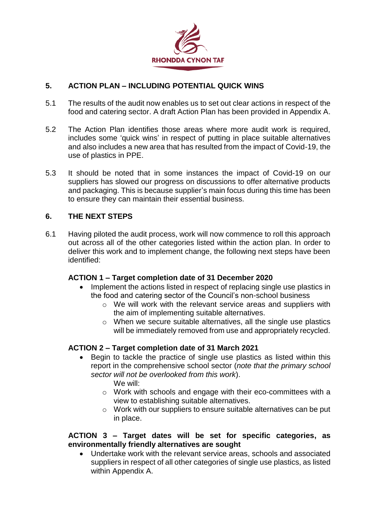

## **5. ACTION PLAN – INCLUDING POTENTIAL QUICK WINS**

- 5.1 The results of the audit now enables us to set out clear actions in respect of the food and catering sector. A draft Action Plan has been provided in Appendix A.
- 5.2 The Action Plan identifies those areas where more audit work is required, includes some 'quick wins' in respect of putting in place suitable alternatives and also includes a new area that has resulted from the impact of Covid-19, the use of plastics in PPE.
- 5.3 It should be noted that in some instances the impact of Covid-19 on our suppliers has slowed our progress on discussions to offer alternative products and packaging. This is because supplier's main focus during this time has been to ensure they can maintain their essential business.

### **6. THE NEXT STEPS**

6.1 Having piloted the audit process, work will now commence to roll this approach out across all of the other categories listed within the action plan. In order to deliver this work and to implement change, the following next steps have been identified:

#### **ACTION 1 – Target completion date of 31 December 2020**

- Implement the actions listed in respect of replacing single use plastics in the food and catering sector of the Council's non-school business
	- o We will work with the relevant service areas and suppliers with the aim of implementing suitable alternatives.
	- o When we secure suitable alternatives, all the single use plastics will be immediately removed from use and appropriately recycled.

#### **ACTION 2 – Target completion date of 31 March 2021**

- Begin to tackle the practice of single use plastics as listed within this report in the comprehensive school sector (*note that the primary school sector will not be overlooked from this work*).
	- We will:
	- o Work with schools and engage with their eco-committees with a view to establishing suitable alternatives.
	- o Work with our suppliers to ensure suitable alternatives can be put in place.

#### **ACTION 3 – Target dates will be set for specific categories, as environmentally friendly alternatives are sought**

 Undertake work with the relevant service areas, schools and associated suppliers in respect of all other categories of single use plastics, as listed within Appendix A.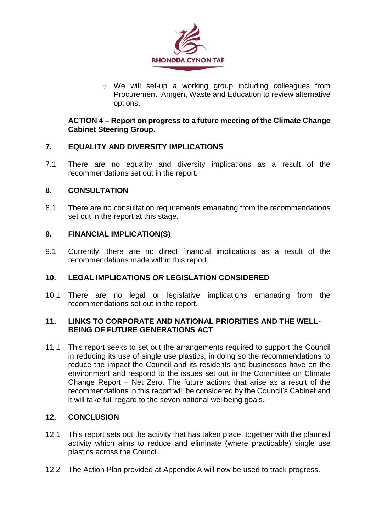

o We will set-up a working group including colleagues from Procurement, Amgen, Waste and Education to review alternative options.

#### **ACTION 4 – Report on progress to a future meeting of the Climate Change Cabinet Steering Group.**

### **7. EQUALITY AND DIVERSITY IMPLICATIONS**

7.1 There are no equality and diversity implications as a result of the recommendations set out in the report.

### **8. CONSULTATION**

8.1 There are no consultation requirements emanating from the recommendations set out in the report at this stage.

### **9. FINANCIAL IMPLICATION(S)**

9.1 Currently, there are no direct financial implications as a result of the recommendations made within this report.

## **10. LEGAL IMPLICATIONS** *OR* **LEGISLATION CONSIDERED**

10.1 There are no legal or legislative implications emanating from the recommendations set out in the report.

#### **11. LINKS TO CORPORATE AND NATIONAL PRIORITIES AND THE WELL-BEING OF FUTURE GENERATIONS ACT**

11.1 This report seeks to set out the arrangements required to support the Council in reducing its use of single use plastics, in doing so the recommendations to reduce the impact the Council and its residents and businesses have on the environment and respond to the issues set out in the Committee on Climate Change Report – Net Zero. The future actions that arise as a result of the recommendations in this report will be considered by the Council's Cabinet and it will take full regard to the seven national wellbeing goals.

#### **12. CONCLUSION**

- 12.1 This report sets out the activity that has taken place, together with the planned activity which aims to reduce and eliminate (where practicable) single use plastics across the Council.
- 12.2 The Action Plan provided at Appendix A will now be used to track progress.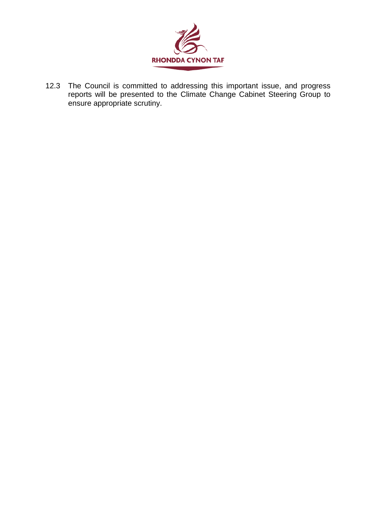

12.3 The Council is committed to addressing this important issue, and progress reports will be presented to the Climate Change Cabinet Steering Group to ensure appropriate scrutiny.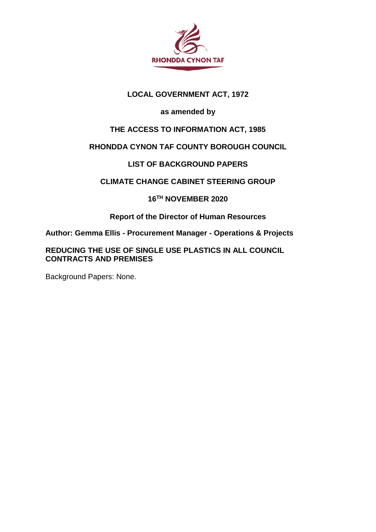

## **LOCAL GOVERNMENT ACT, 1972**

# **as amended by**

# **THE ACCESS TO INFORMATION ACT, 1985**

# **RHONDDA CYNON TAF COUNTY BOROUGH COUNCIL**

# **LIST OF BACKGROUND PAPERS**

## **CLIMATE CHANGE CABINET STEERING GROUP**

## **16TH NOVEMBER 2020**

## **Report of the Director of Human Resources**

**Author: Gemma Ellis - Procurement Manager - Operations & Projects**

**REDUCING THE USE OF SINGLE USE PLASTICS IN ALL COUNCIL CONTRACTS AND PREMISES**

Background Papers: None.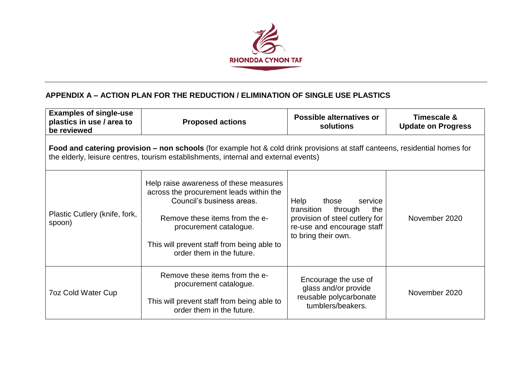

# **APPENDIX A – ACTION PLAN FOR THE REDUCTION / ELIMINATION OF SINGLE USE PLASTICS**

| <b>Examples of single-use</b><br>plastics in use / area to<br>be reviewed                                                                                                                                          | <b>Proposed actions</b>                                                                                                                                                                                                                               | Possible alternatives or<br>solutions                                                                                                           | Timescale &<br><b>Update on Progress</b> |
|--------------------------------------------------------------------------------------------------------------------------------------------------------------------------------------------------------------------|-------------------------------------------------------------------------------------------------------------------------------------------------------------------------------------------------------------------------------------------------------|-------------------------------------------------------------------------------------------------------------------------------------------------|------------------------------------------|
| Food and catering provision – non schools (for example hot & cold drink provisions at staff canteens, residential homes for<br>the elderly, leisure centres, tourism establishments, internal and external events) |                                                                                                                                                                                                                                                       |                                                                                                                                                 |                                          |
| Plastic Cutlery (knife, fork,<br>spoon)                                                                                                                                                                            | Help raise awareness of these measures<br>across the procurement leads within the<br>Council's business areas.<br>Remove these items from the e-<br>procurement catalogue.<br>This will prevent staff from being able to<br>order them in the future. | Help<br>those<br>service<br>transition<br>through<br>the<br>provision of steel cutlery for<br>re-use and encourage staff<br>to bring their own. | November 2020                            |
| <b>7oz Cold Water Cup</b>                                                                                                                                                                                          | Remove these items from the e-<br>procurement catalogue.<br>This will prevent staff from being able to<br>order them in the future.                                                                                                                   | Encourage the use of<br>glass and/or provide<br>reusable polycarbonate<br>tumblers/beakers.                                                     | November 2020                            |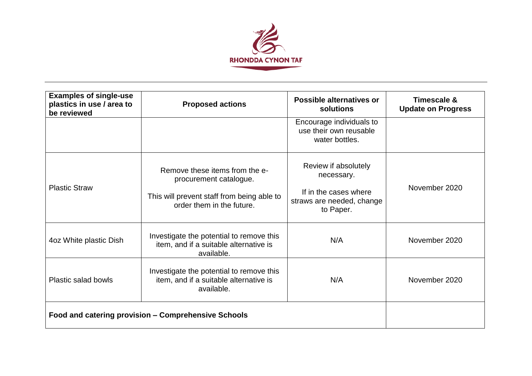

| <b>Examples of single-use</b><br>plastics in use / area to<br>be reviewed | <b>Proposed actions</b>                                                                                                             | Possible alternatives or<br>solutions                                                                 | <b>Timescale &amp;</b><br><b>Update on Progress</b> |
|---------------------------------------------------------------------------|-------------------------------------------------------------------------------------------------------------------------------------|-------------------------------------------------------------------------------------------------------|-----------------------------------------------------|
|                                                                           |                                                                                                                                     | Encourage individuals to<br>use their own reusable<br>water bottles.                                  |                                                     |
| <b>Plastic Straw</b>                                                      | Remove these items from the e-<br>procurement catalogue.<br>This will prevent staff from being able to<br>order them in the future. | Review if absolutely<br>necessary.<br>If in the cases where<br>straws are needed, change<br>to Paper. | November 2020                                       |
| 4oz White plastic Dish                                                    | Investigate the potential to remove this<br>item, and if a suitable alternative is<br>available.                                    | N/A                                                                                                   | November 2020                                       |
| <b>Plastic salad bowls</b>                                                | Investigate the potential to remove this<br>item, and if a suitable alternative is<br>available.                                    | N/A                                                                                                   | November 2020                                       |
|                                                                           | Food and catering provision - Comprehensive Schools                                                                                 |                                                                                                       |                                                     |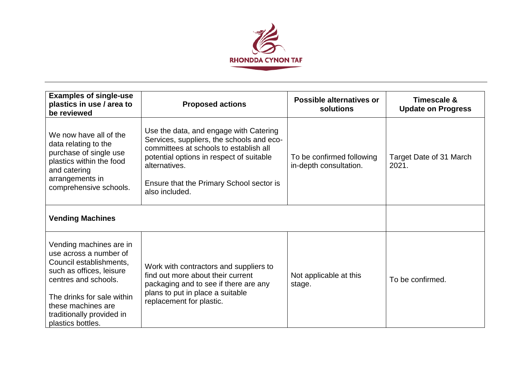

| <b>Examples of single-use</b><br>plastics in use / area to<br>be reviewed                                                                                                                                                              | <b>Proposed actions</b>                                                                                                                                                                                                                                  | <b>Possible alternatives or</b><br>solutions        | <b>Timescale &amp;</b><br><b>Update on Progress</b> |
|----------------------------------------------------------------------------------------------------------------------------------------------------------------------------------------------------------------------------------------|----------------------------------------------------------------------------------------------------------------------------------------------------------------------------------------------------------------------------------------------------------|-----------------------------------------------------|-----------------------------------------------------|
| We now have all of the<br>data relating to the<br>purchase of single use<br>plastics within the food<br>and catering<br>arrangements in<br>comprehensive schools.                                                                      | Use the data, and engage with Catering<br>Services, suppliers, the schools and eco-<br>committees at schools to establish all<br>potential options in respect of suitable<br>alternatives.<br>Ensure that the Primary School sector is<br>also included. | To be confirmed following<br>in-depth consultation. | Target Date of 31 March<br>2021.                    |
| <b>Vending Machines</b>                                                                                                                                                                                                                |                                                                                                                                                                                                                                                          |                                                     |                                                     |
| Vending machines are in<br>use across a number of<br>Council establishments,<br>such as offices, leisure<br>centres and schools.<br>The drinks for sale within<br>these machines are<br>traditionally provided in<br>plastics bottles. | Work with contractors and suppliers to<br>find out more about their current<br>packaging and to see if there are any<br>plans to put in place a suitable<br>replacement for plastic.                                                                     | Not applicable at this<br>stage.                    | To be confirmed.                                    |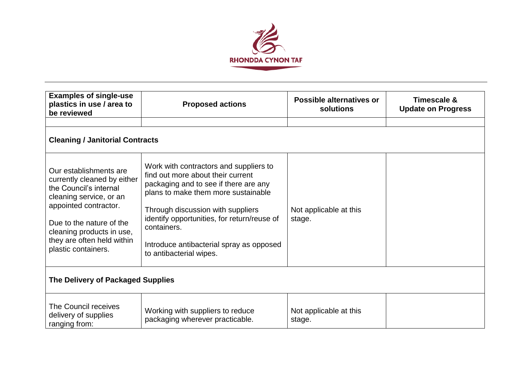

| <b>Examples of single-use</b><br>plastics in use / area to<br>be reviewed                                                                                                                                                                         | <b>Proposed actions</b>                                                                                                                                                                                                                                                                                                               | Possible alternatives or<br>solutions | Timescale &<br><b>Update on Progress</b> |  |
|---------------------------------------------------------------------------------------------------------------------------------------------------------------------------------------------------------------------------------------------------|---------------------------------------------------------------------------------------------------------------------------------------------------------------------------------------------------------------------------------------------------------------------------------------------------------------------------------------|---------------------------------------|------------------------------------------|--|
| <b>Cleaning / Janitorial Contracts</b>                                                                                                                                                                                                            |                                                                                                                                                                                                                                                                                                                                       |                                       |                                          |  |
| Our establishments are<br>currently cleaned by either<br>the Council's internal<br>cleaning service, or an<br>appointed contractor.<br>Due to the nature of the<br>cleaning products in use,<br>they are often held within<br>plastic containers. | Work with contractors and suppliers to<br>find out more about their current<br>packaging and to see if there are any<br>plans to make them more sustainable<br>Through discussion with suppliers<br>identify opportunities, for return/reuse of<br>containers.<br>Introduce antibacterial spray as opposed<br>to antibacterial wipes. | Not applicable at this<br>stage.      |                                          |  |
| The Delivery of Packaged Supplies                                                                                                                                                                                                                 |                                                                                                                                                                                                                                                                                                                                       |                                       |                                          |  |
| The Council receives<br>delivery of supplies<br>ranging from:                                                                                                                                                                                     | Working with suppliers to reduce<br>packaging wherever practicable.                                                                                                                                                                                                                                                                   | Not applicable at this<br>stage.      |                                          |  |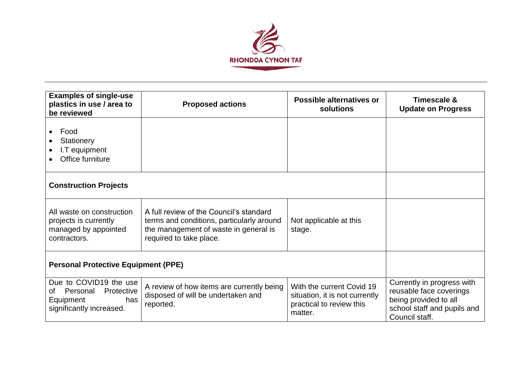

| <b>Examples of single-use</b><br>plastics in use / area to<br>be reviewed                              | <b>Proposed actions</b>                                                                                                                                  | <b>Possible alternatives or</b><br>solutions                                                       | <b>Timescale &amp;</b><br><b>Update on Progress</b>                                                                             |
|--------------------------------------------------------------------------------------------------------|----------------------------------------------------------------------------------------------------------------------------------------------------------|----------------------------------------------------------------------------------------------------|---------------------------------------------------------------------------------------------------------------------------------|
| Food<br>Stationery<br>I.T equipment<br>Office furniture                                                |                                                                                                                                                          |                                                                                                    |                                                                                                                                 |
| <b>Construction Projects</b>                                                                           |                                                                                                                                                          |                                                                                                    |                                                                                                                                 |
| All waste on construction<br>projects is currently<br>managed by appointed<br>contractors.             | A full review of the Council's standard<br>terms and conditions, particularly around<br>the management of waste in general is<br>required to take place. | Not applicable at this<br>stage.                                                                   |                                                                                                                                 |
| <b>Personal Protective Equipment (PPE)</b>                                                             |                                                                                                                                                          |                                                                                                    |                                                                                                                                 |
| Due to COVID19 the use<br>Personal<br>Protective<br>0f<br>has<br>Equipment<br>significantly increased. | A review of how items are currently being<br>disposed of will be undertaken and<br>reported.                                                             | With the current Covid 19<br>situation, it is not currently<br>practical to review this<br>matter. | Currently in progress with<br>reusable face coverings<br>being provided to all<br>school staff and pupils and<br>Council staff. |